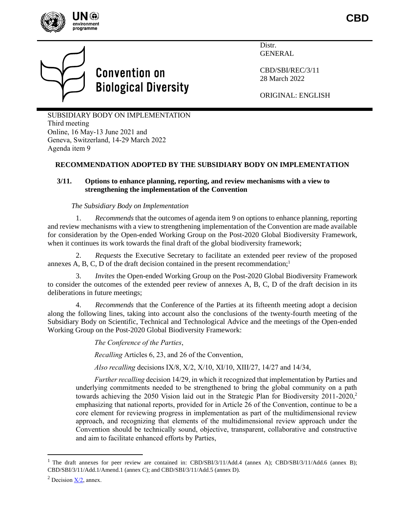



# **Convention on Biological Diversity**

Distr. GENERAL

CBD/SBI/REC/3/11 28 March 2022

ORIGINAL: ENGLISH

SUBSIDIARY BODY ON IMPLEMENTATION Third meeting Online, 16 May-13 June 2021 and Geneva, Switzerland, 14-29 March 2022 Agenda item 9

# **RECOMMENDATION ADOPTED BY THE SUBSIDIARY BODY ON IMPLEMENTATION**

# **3/11. Options to enhance planning, reporting, and review mechanisms with a view to strengthening the implementation of the Convention**

## *The Subsidiary Body on Implementation*

1. *Recommends* that the outcomes of agenda item 9 on options to enhance planning, reporting and review mechanisms with a view to strengthening implementation of the Convention are made available for consideration by the Open-ended Working Group on the Post-2020 Global Biodiversity Framework, when it continues its work towards the final draft of the global biodiversity framework;

2. *Requests* the Executive Secretary to facilitate an extended peer review of the proposed annexes A, B, C, D of the draft decision contained in the present recommendation; 1

3. *Invites* the Open-ended Working Group on the Post-2020 Global Biodiversity Framework to consider the outcomes of the extended peer review of annexes A, B, C, D of the draft decision in its deliberations in future meetings;

4. *Recommends* that the Conference of the Parties at its fifteenth meeting adopt a decision along the following lines, taking into account also the conclusions of the twenty-fourth meeting of the Subsidiary Body on Scientific, Technical and Technological Advice and the meetings of the Open-ended Working Group on the Post-2020 Global Biodiversity Framework:

*The Conference of the Parties*,

*Recalling* Articles 6, 23, and 26 of the Convention,

*Also recalling* decisions IX/8, X/2, X/10, XI/10, XIII/27, 14/27 and 14/34,

*Further recalling* decision 14/29, in which it recognized that implementation by Parties and underlying commitments needed to be strengthened to bring the global community on a path towards achieving the 2050 Vision laid out in the Strategic Plan for Biodiversity 2011-2020,<sup>2</sup> emphasizing that national reports, provided for in Article 26 of the Convention, continue to be a core element for reviewing progress in implementation as part of the multidimensional review approach, and recognizing that elements of the multidimensional review approach under the Convention should be technically sound, objective, transparent, collaborative and constructive and aim to facilitate enhanced efforts by Parties,

<sup>&</sup>lt;sup>1</sup> The draft annexes for peer review are contained in: CBD/SBI/3/11/Add.4 (annex A); CBD/SBI/3/11/Add.6 (annex B); CBD/SBI/3/11/Add.1/Amend.1 (annex C); and CBD/SBI/3/11/Add.5 (annex D).

 $2$  Decision  $X/2$ , annex.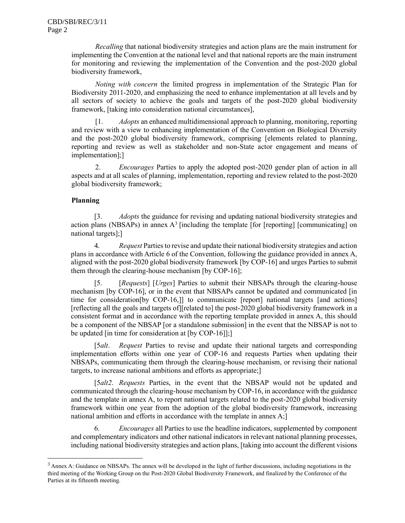*Recalling* that national biodiversity strategies and action plans are the main instrument for implementing the Convention at the national level and that national reports are the main instrument for monitoring and reviewing the implementation of the Convention and the post-2020 global biodiversity framework,

*Noting with concern* the limited progress in implementation of the Strategic Plan for Biodiversity 2011-2020, and emphasizing the need to enhance implementation at all levels and by all sectors of society to achieve the goals and targets of the post-2020 global biodiversity framework, [taking into consideration national circumstances],

[1. *Adopts* an enhanced multidimensional approach to planning, monitoring, reporting and review with a view to enhancing implementation of the Convention on Biological Diversity and the post-2020 global biodiversity framework, comprising [elements related to planning, reporting and review as well as stakeholder and non-State actor engagement and means of implementation];]

2. *Encourages* Parties to apply the adopted post-2020 gender plan of action in all aspects and at all scales of planning, implementation, reporting and review related to the post-2020 global biodiversity framework;

### **Planning**

<span id="page-1-0"></span>[3. *Adopts* the guidance for revising and updating national biodiversity strategies and action plans (NBSAPs) in annex  $A<sup>3</sup>$  [including the template [for [reporting] [communicating] on national targets];]

4. *Request* Parties to revise and update their national biodiversity strategies and action plans in accordance with Article 6 of the Convention, following the guidance provided in annex A, aligned with the post-2020 global biodiversity framework [by COP-16] and urges Parties to submit them through the clearing-house mechanism [by COP-16];

[5. [*Requests*] [*Urges*] Parties to submit their NBSAPs through the clearing-house mechanism [by COP-16], or in the event that NBSAPs cannot be updated and communicated [in time for consideration[by COP-16,]] to communicate [report] national targets [and actions] [reflecting all the goals and targets of][related to] the post-2020 global biodiversity framework in a consistent format and in accordance with the reporting template provided in annex A, this should be a component of the NBSAP [or a standalone submission] in the event that the NBSAP is not to be updated [in time for consideration at [by COP-16]];]

[5*alt*. *Request* Parties to revise and update their national targets and corresponding implementation efforts within one year of COP-16 and requests Parties when updating their NBSAPs, communicating them through the clearing-house mechanism, or revising their national targets, to increase national ambitions and efforts as appropriate;]

[5*alt2*. *Requests* Parties, in the event that the NBSAP would not be updated and communicated through the clearing-house mechanism by COP-16, in accordance with the guidance and the template in annex A, to report national targets related to the post-2020 global biodiversity framework within one year from the adoption of the global biodiversity framework, increasing national ambition and efforts in accordance with the template in annex A;]

6. *Encourages* all Parties to use the headline indicators, supplemented by component and complementary indicators and other national indicators in relevant national planning processes, including national biodiversity strategies and action plans, [taking into account the different visions

 $3$  Annex A: Guidance on NBSAPs. The annex will be developed in the light of further discussions, including negotiations in the third meeting of the Working Group on the Post-2020 Global Biodiversity Framework, and finalized by the Conference of the Parties at its fifteenth meeting.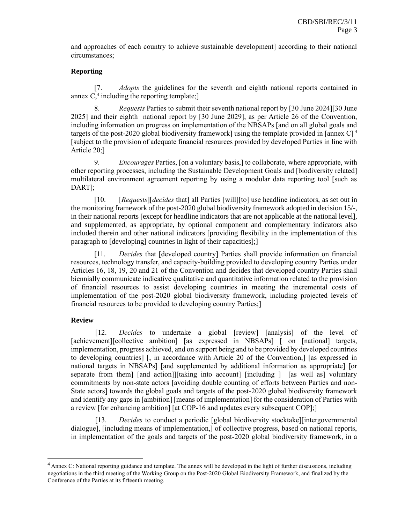and approaches of each country to achieve sustainable development] according to their national circumstances;

### **Reporting**

<span id="page-2-0"></span>[7. *Adopts* the guidelines for the seventh and eighth national reports contained in annex  $C<sub>1</sub><sup>4</sup>$  including the reporting template;

8. *Requests* Parties to submit their seventh national report by [30 June 2024][30 June 2025] and their eighth national report by [30 June 2029], as per Article 26 of the Convention, including information on progress on implementation of the NBSAPs [and on all global goals and targets of the post-2020 global biodiversity framework] using the template provided in [annex C]<sup>[4](#page-2-0)</sup> [subject to the provision of adequate financial resources provided by developed Parties in line with Article 20;]

9. *Encourages* Parties, [on a voluntary basis,] to collaborate, where appropriate, with other reporting processes, including the Sustainable Development Goals and [biodiversity related] multilateral environment agreement reporting by using a modular data reporting tool [such as DART];

[10. [*Requests*][*decides* that] all Parties [will][to] use headline indicators, as set out in the monitoring framework of the post-2020 global biodiversity framework adopted in decision 15/-, in their national reports [except for headline indicators that are not applicable at the national level], and supplemented, as appropriate, by optional component and complementary indicators also included therein and other national indicators [providing flexibility in the implementation of this paragraph to [developing] countries in light of their capacities];]

[11. *Decides* that [developed country] Parties shall provide information on financial resources, technology transfer, and capacity-building provided to developing country Parties under Articles 16, 18, 19, 20 and 21 of the Convention and decides that developed country Parties shall biennially communicate indicative qualitative and quantitative information related to the provision of financial resources to assist developing countries in meeting the incremental costs of implementation of the post-2020 global biodiversity framework, including projected levels of financial resources to be provided to developing country Parties;]

#### **Review**

[12. *Decides* to undertake a global [review] [analysis] of the level of [achievement][collective ambition] [as expressed in NBSAPs] [ on [national] targets, implementation, progress achieved, and on support being and to be provided by developed countries to developing countries] [, in accordance with Article 20 of the Convention,] [as expressed in national targets in NBSAPs] [and supplemented by additional information as appropriate] [or separate from them] [and action]][taking into account] [including ] [as well as] voluntary commitments by non-state actors [avoiding double counting of efforts between Parties and non-State actors] towards the global goals and targets of the post-2020 global biodiversity framework and identify any gaps in [ambition] [means of implementation] for the consideration of Parties with a review [for enhancing ambition] [at COP-16 and updates every subsequent COP];]

[13. *Decides* to conduct a periodic [global biodiversity stocktake][intergovernmental dialogue], [including means of implementation,] of collective progress, based on national reports, in implementation of the goals and targets of the post-2020 global biodiversity framework, in a

 $<sup>4</sup>$  Annex C: National reporting guidance and template. The annex will be developed in the light of further discussions, including</sup> negotiations in the third meeting of the Working Group on the Post-2020 Global Biodiversity Framework, and finalized by the Conference of the Parties at its fifteenth meeting.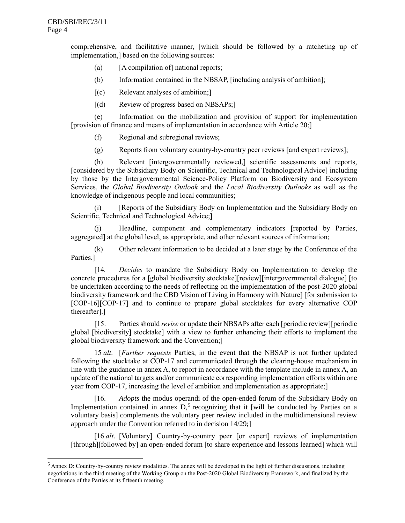comprehensive, and facilitative manner, [which should be followed by a ratcheting up of implementation,] based on the following sources:

- (a) [A compilation of ] national reports;
- (b) Information contained in the NBSAP, [including analysis of ambition];
- [(c) Relevant analyses of ambition;]
- [(d) Review of progress based on NBSAPs;]

(e) Information on the mobilization and provision of support for implementation [provision of finance and means of implementation in accordance with Article 20;]

- (f) Regional and subregional reviews;
- (g) Reports from voluntary country-by-country peer reviews [and expert reviews];

(h) Relevant [intergovernmentally reviewed,] scientific assessments and reports, [considered by the Subsidiary Body on Scientific, Technical and Technological Advice] including by those by the Intergovernmental Science-Policy Platform on Biodiversity and Ecosystem Services, the *Global Biodiversity Outlook* and the *Local Biodiversity Outlooks* as well as the knowledge of indigenous people and local communities;

(Reports of the Subsidiary Body on Implementation and the Subsidiary Body on Scientific, Technical and Technological Advice;

(j) Headline, component and complementary indicators [reported by Parties, aggregated] at the global level, as appropriate, and other relevant sources of information;

(k) Other relevant information to be decided at a later stage by the Conference of the Parties.]

[14*. Decides* to mandate the Subsidiary Body on Implementation to develop the concrete procedures for a [global biodiversity stocktake][review][intergovernmental dialogue] [to be undertaken according to the needs of reflecting on the implementation of the post-2020 global biodiversity framework and the CBD Vision of Living in Harmony with Nature] [for submission to [COP-16][COP-17] and to continue to prepare global stocktakes for every alternative COP thereafter].]

[15. Parties should *revise* or update their NBSAPs after each [periodic review][periodic global [biodiversity] stocktake] with a view to further enhancing their efforts to implement the global biodiversity framework and the Convention;]

15 *alt*. [*Further requests* Parties, in the event that the NBSAP is not further updated following the stocktake at COP-17 and communicated through the clearing-house mechanism in line with the guidance in annex A, to report in accordance with the template include in annex A, an update of the national targets and/or communicate corresponding implementation efforts within one year from COP-17, increasing the level of ambition and implementation as appropriate;]

[16. *Adopts* the modus operandi of the open-ended forum of the Subsidiary Body on Implementation contained in annex  $D<sub>1</sub>$ <sup>5</sup> recognizing that it [will be conducted by Parties on a voluntary basis] complements the voluntary peer review included in the multidimensional review approach under the Convention referred to in decision 14/29;]

[16 *alt*. [Voluntary] Country-by-country peer [or expert] reviews of implementation [through][followed by] an open-ended forum [to share experience and lessons learned] which will

<sup>&</sup>lt;sup>5</sup> Annex D: Country-by-country review modalities. The annex will be developed in the light of further discussions, including negotiations in the third meeting of the Working Group on the Post-2020 Global Biodiversity Framework, and finalized by the Conference of the Parties at its fifteenth meeting.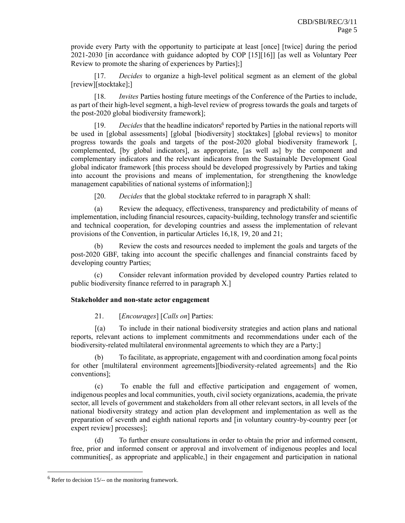provide every Party with the opportunity to participate at least [once] [twice] during the period 2021-2030 [in accordance with guidance adopted by COP [15][16]] [as well as Voluntary Peer Review to promote the sharing of experiences by Parties];]

[17. *Decides* to organize a high-level political segment as an element of the global [review][stocktake];]

[18. *Invites* Parties hosting future meetings of the Conference of the Parties to include, as part of their high-level segment, a high-level review of progress towards the goals and targets of the post-2020 global biodiversity framework];

[19. *Decides* that the headline indicators<sup>6</sup> reported by Parties in the national reports will be used in [global assessments] [global [biodiversity] stocktakes] [global reviews] to monitor progress towards the goals and targets of the post-2020 global biodiversity framework [, complemented, [by global indicators], as appropriate, [as well as] by the component and complementary indicators and the relevant indicators from the Sustainable Development Goal global indicator framework [this process should be developed progressively by Parties and taking into account the provisions and means of implementation, for strengthening the knowledge management capabilities of national systems of information];

[20. *Decides* that the global stocktake referred to in paragraph X shall:

(a) Review the adequacy, effectiveness, transparency and predictability of means of implementation, including financial resources, capacity-building, technology transfer and scientific and technical cooperation, for developing countries and assess the implementation of relevant provisions of the Convention, in particular Articles 16,18, 19, 20 and 21;

(b) Review the costs and resources needed to implement the goals and targets of the post-2020 GBF, taking into account the specific challenges and financial constraints faced by developing country Parties;

(c) Consider relevant information provided by developed country Parties related to public biodiversity finance referred to in paragraph X.]

#### **Stakeholder and non-state actor engagement**

21. [*Encourages*] [*Calls on*] Parties:

[(a) To include in their national biodiversity strategies and action plans and national reports, relevant actions to implement commitments and recommendations under each of the biodiversity-related multilateral environmental agreements to which they are a Party;]

(b) To facilitate, as appropriate, engagement with and coordination among focal points for other [multilateral environment agreements][biodiversity-related agreements] and the Rio conventions];

(c) To enable the full and effective participation and engagement of women, indigenous peoples and local communities, youth, civil society organizations, academia, the private sector, all levels of government and stakeholders from all other relevant sectors, in all levels of the national biodiversity strategy and action plan development and implementation as well as the preparation of seventh and eighth national reports and [in voluntary country-by-country peer [or expert review] processes];

(d) To further ensure consultations in order to obtain the prior and informed consent, free, prior and informed consent or approval and involvement of indigenous peoples and local communities[, as appropriate and applicable,] in their engagement and participation in national

 $6$  Refer to decision 15/-- on the monitoring framework.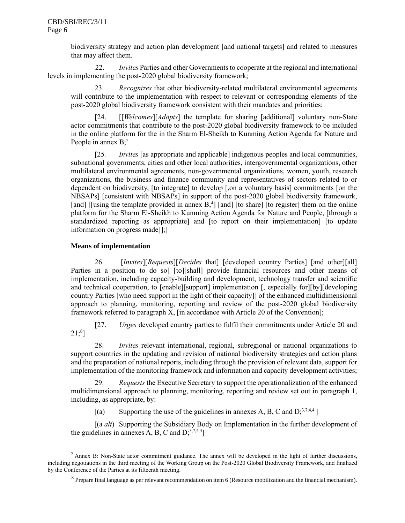biodiversity strategy and action plan development [and national targets] and related to measures that may affect them.

22. *Invites* Parties and other Governments to cooperate at the regional and international levels in implementing the post-2020 global biodiversity framework;

23. *Recognizes* that other biodiversity-related multilateral environmental agreements will contribute to the implementation with respect to relevant or corresponding elements of the post-2020 global biodiversity framework consistent with their mandates and priorities;

[24. [[*Welcomes*][*Adopts*] the template for sharing [additional] voluntary non-State actor commitments that contribute to the post-2020 global biodiversity framework to be included in the online platform for the in the Sharm El-Sheikh to Kunming Action Agenda for Nature and People in annex  $B$ ;<sup>7</sup>

<span id="page-5-0"></span>[25*. Invites* [as appropriate and applicable] indigenous peoples and local communities, subnational governments, cities and other local authorities, intergovernmental organizations, other multilateral environmental agreements, non-governmental organizations, women, youth, research organizations, the business and finance community and representatives of sectors related to or dependent on biodiversity, [to integrate] to develop [,on a voluntary basis] commitments [on the NBSAPs] [consistent with NBSAPs] in support of the post-2020 global biodiversity framework, [and] [[using the template provided in annex  $B<sub>1</sub><sup>4</sup>$ ] [and] [to share] [to register] them on the online platform for the Sharm El-Sheikh to Kunming Action Agenda for Nature and People, [through a standardized reporting as appropriate] and [to report on their implementation] [to update information on progress made]];]

#### **Means of implementation**

26. [*Invites*][*Requests*][*Decides* that] [developed country Parties] [and other][all] Parties in a position to do so [[to][shall] provide financial resources and other means of implementation, including capacity-building and development, technology transfer and scientific and technical cooperation, to [enable][support] implementation [, especially for][by][developing country Parties [who need support in the light of their capacity]] of the enhanced multidimensional approach to planning, monitoring, reporting and review of the post-2020 global biodiversity framework referred to paragraph X, [in accordance with Article 20 of the Convention];

[27. *Urges* developed country parties to fulfil their commitments under Article 20 and  $21;8$ ]

28. *Invites* relevant international, regional, subregional or national organizations to support countries in the updating and revision of national biodiversity strategies and action plans and the preparation of national reports, including through the provision of relevant data, support for implementation of the monitoring framework and information and capacity development activities;

29. *Requests* the Executive Secretary to support the operationalization of the enhanced multidimensional approach to planning, monitoring, reporting and review set out in paragraph 1, including, as appropriate, by:

 $[(a)$  Supporting the use of the guidelines in annexes A, B, C and D;<sup>[3,](#page-1-0)[7,](#page-5-0)[4,](#page-2-0)4</sup>]

[(a *alt*) Supporting the Subsidiary Body on Implementation in the further development of the guidelines in annexes A, B, C and  $D<sub>1</sub><sup>3,7,4,4</sup>$  $D<sub>1</sub><sup>3,7,4,4</sup>$  $D<sub>1</sub><sup>3,7,4,4</sup>$  $D<sub>1</sub><sup>3,7,4,4</sup>$  $D<sub>1</sub><sup>3,7,4,4</sup>$ ]

 $<sup>7</sup>$  Annex B: Non-State actor commitment guidance. The annex will be developed in the light of further discussions,</sup> including negotiations in the third meeting of the Working Group on the Post-2020 Global Biodiversity Framework, and finalized by the Conference of the Parties at its fifteenth meeting.

 $8$  Prepare final language as per relevant recommendation on item 6 (Resource mobilization and the financial mechanism).